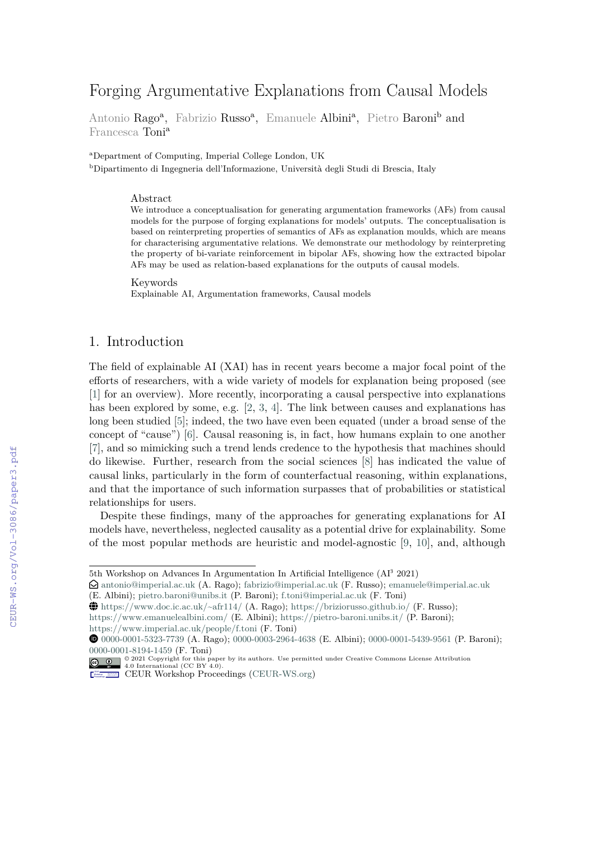# Forging Argumentative Explanations from Causal Models

Antonio Rago<sup>a</sup>, Fabrizio Russo<sup>a</sup>, Emanuele Albini<sup>a</sup>, Pietro Baroni<sup>b</sup> and Francesca Toni<sup>a</sup>

<sup>a</sup>Department of Computing, Imperial College London, UK

<sup>b</sup>Dipartimento di Ingegneria dell'Informazione, Università degli Studi di Brescia, Italy

Abstract

We introduce a conceptualisation for generating argumentation frameworks (AFs) from causal models for the purpose of forging explanations for models' outputs. The conceptualisation is based on reinterpreting properties of semantics of AFs as explanation moulds, which are means for characterising argumentative relations. We demonstrate our methodology by reinterpreting the property of bi-variate reinforcement in bipolar AFs, showing how the extracted bipolar AFs may be used as relation-based explanations for the outputs of causal models.

Keywords

Explainable AI, Argumentation frameworks, Causal models

# 1. Introduction

The field of explainable AI (XAI) has in recent years become a major focal point of the efforts of researchers, with a wide variety of models for explanation being proposed (see [\[1\]](#page--1-0) for an overview). More recently, incorporating a causal perspective into explanations has been explored by some, e.g. [\[2,](#page--1-1) [3,](#page--1-2) [4\]](#page--1-3). The link between causes and explanations has long been studied [\[5\]](#page--1-4); indeed, the two have even been equated (under a broad sense of the concept of "cause") [\[6\]](#page--1-5). Causal reasoning is, in fact, how humans explain to one another [\[7\]](#page--1-6), and so mimicking such a trend lends credence to the hypothesis that machines should do likewise. Further, research from the social sciences [\[8\]](#page--1-7) has indicated the value of causal links, particularly in the form of counterfactual reasoning, within explanations, and that the importance of such information surpasses that of probabilities or statistical relationships for users.

Despite these findings, many of the approaches for generating explanations for AI models have, nevertheless, neglected causality as a potential drive for explainability. Some of the most popular methods are heuristic and model-agnostic [\[9,](#page--1-8) [10\]](#page--1-9), and, although

<sup>5</sup>th Workshop on Advances In Argumentation In Artificial Intelligence (AI<sup>3</sup> 2021)

 $\Omega$  [antonio@imperial.ac.uk](mailto:antonio@imperial.ac.uk) (A. Rago); [fabrizio@imperial.ac.uk](mailto:fabrizio@imperial.ac.uk) (F. Russo); [emanuele@imperial.ac.uk](mailto:emanuele@imperial.ac.uk) (E. Albini); [pietro.baroni@unibs.it](mailto:pietro.baroni@unibs.it) (P. Baroni); [f.toni@imperial.ac.uk](mailto:f.toni@imperial.ac.uk) (F. Toni)

 $\bigoplus$  <https://www.doc.ic.ac.uk/~afr114/> (A. Rago); <https://briziorusso.github.io/> (F. Russo);

<https://www.emanuelealbini.com/> (E. Albini); <https://pietro-baroni.unibs.it/> (P. Baroni);

<https://www.imperial.ac.uk/people/f.toni> (F. Toni)

Orcid [0000-0001-5323-7739](https://orcid.org/0000-0001-5323-7739) (A. Rago); [0000-0003-2964-4638](https://orcid.org/0000-0003-2964-4638) (E. Albini); [0000-0001-5439-9561](https://orcid.org/0000-0001-5439-9561) (P. Baroni); [0000-0001-8194-1459](https://orcid.org/0000-0001-8194-1459) (F. Toni)

<sup>© 2021</sup> Copyright for this paper by its authors. Use permitted under Creative Commons License Attribution 4.0 International (CC BY 4.0). CEUR Workshop [Proceedings](http://ceur-ws.org) [\(CEUR-WS.org\)](http://ceur-ws.org)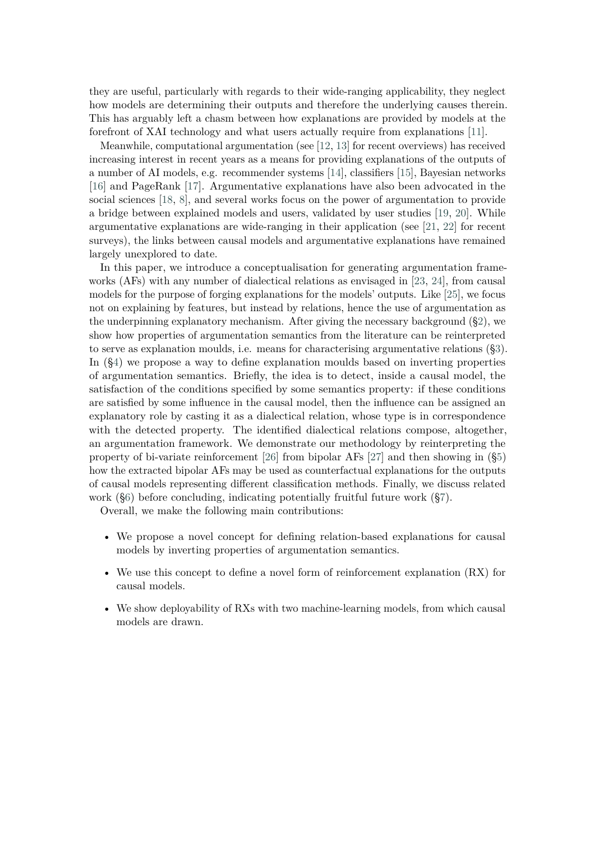they are useful, particularly with regards to their wide-ranging applicability, they neglect how models are determining their outputs and therefore the underlying causes therein. This has arguably left a chasm between how explanations are provided by models at the forefront of XAI technology and what users actually require from explanations [\[11\]](#page-12-0).

Meanwhile, computational argumentation (see [\[12,](#page-12-1) [13\]](#page-12-2) for recent overviews) has received increasing interest in recent years as a means for providing explanations of the outputs of a number of AI models, e.g. recommender systems [\[14\]](#page-12-3), classifiers [\[15\]](#page-12-4), Bayesian networks [\[16\]](#page-12-5) and PageRank [\[17\]](#page-12-6). Argumentative explanations have also been advocated in the social sciences [\[18,](#page-12-7) [8\]](#page-12-8), and several works focus on the power of argumentation to provide a bridge between explained models and users, validated by user studies [\[19,](#page-12-9) [20\]](#page-12-10). While argumentative explanations are wide-ranging in their application (see [\[21,](#page-13-0) [22\]](#page-13-1) for recent surveys), the links between causal models and argumentative explanations have remained largely unexplored to date.

In this paper, we introduce a conceptualisation for generating argumentation frameworks (AFs) with any number of dialectical relations as envisaged in [\[23,](#page-13-2) [24\]](#page-13-3), from causal models for the purpose of forging explanations for the models' outputs. Like [\[25\]](#page-13-4), we focus not on explaining by features, but instead by relations, hence the use of argumentation as the underpinning explanatory mechanism. After giving the necessary background([§2\)](#page-2-0), we show how properties of argumentation semantics from the literature can be reinterpreted to serve as explanation moulds, i.e. means for characterising argumentative relations([§3\)](#page-4-0). In([§4\)](#page-6-0) we propose a way to define explanation moulds based on inverting properties of argumentation semantics. Briefly, the idea is to detect, inside a causal model, the satisfaction of the conditions specified by some semantics property: if these conditions are satisfied by some influence in the causal model, then the influence can be assigned an explanatory role by casting it as a dialectical relation, whose type is in correspondence with the detected property. The identified dialectical relations compose, altogether, an argumentation framework. We demonstrate our methodology by reinterpreting the property of bi-variate reinforcement [\[26\]](#page-13-5) from bipolar AFs [\[27\]](#page-13-6)and then showing in  $(\S_5)$ how the extracted bipolar AFs may be used as counterfactual explanations for the outputs of causal models representing different classification methods. Finally, we discuss related work([§6\)](#page-10-0) before concluding, indicating potentially fruitful future work([§7\)](#page-10-1).

Overall, we make the following main contributions:

- We propose a novel concept for defining relation-based explanations for causal models by inverting properties of argumentation semantics.
- We use this concept to define a novel form of reinforcement explanation (RX) for causal models.
- We show deployability of RXs with two machine-learning models, from which causal models are drawn.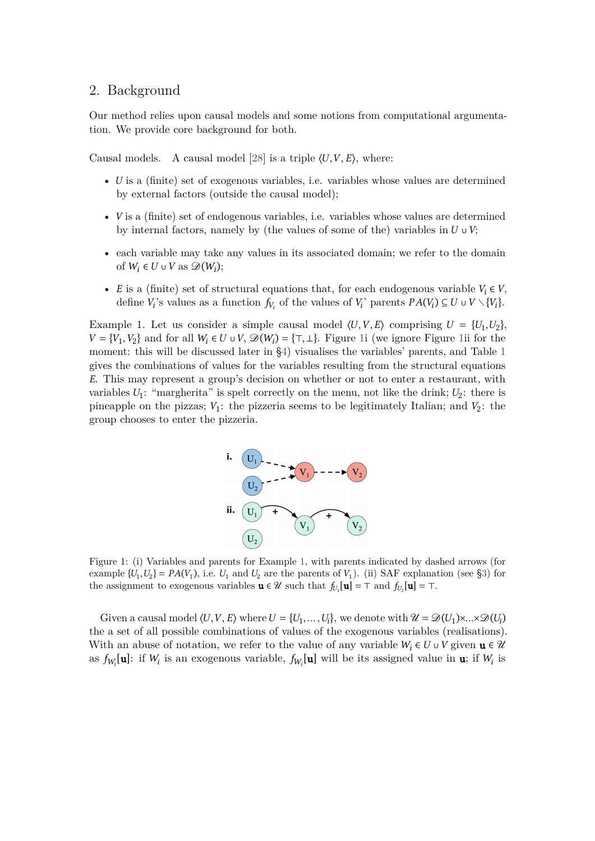## <span id="page-2-0"></span>2. Background

Our method relies upon causal models and some notions from computational argumentation. We provide core background for both.

Causal models. A causal model [\[28\]](#page-13-7) is a triple  $\langle U, V, E \rangle$ , where:

- $U$  is a (finite) set of exogenous variables, i.e. variables whose values are determined by external factors (outside the causal model);
- V is a (finite) set of endogenous variables, i.e. variables whose values are determined by internal factors, namely by (the values of some of the) variables in  $U \cup V$ ;
- each variable may take any values in its associated domain; we refer to the domain of  $W_i \in U \cup V$  as  $\mathscr{D}(W_i)$ ;
- E is a (finite) set of structural equations that, for each endogenous variable  $V_i \in V$ , define  $V_i$ 's values as a function  $f_{V_i}$  of the values of  $V_i$ ' parents  $PA(V_i) \subseteq U \cup V \setminus \{V_i\}$ .

<span id="page-2-2"></span>Example 1. Let us consider a simple causal model  $\langle U, V, E \rangle$  comprising  $U = \{U_1, U_2\}$ ,  $V = {V_1, V_2}$  and for all  $W_i \in U \cup V$ ,  $\mathcal{D}(W_i) = {\top, \bot}$ . Figure [1i](#page-2-1) (we ignore Figure 1ii for the moment: this will be discussed later in [§4\)](#page-6-0) visualises the variables' parents, and Table [1](#page-3-0) gives the combinations of values for the variables resulting from the structural equations . This may represent a group's decision on whether or not to enter a restaurant, with variables  $U_1$ : "margherita" is spelt correctly on the menu, not like the drink;  $U_2$ : there is pineapple on the pizzas;  $V_1$ : the pizzeria seems to be legitimately Italian; and  $V_2$ : the group chooses to enter the pizzeria.



<span id="page-2-1"></span>Figure 1: (i) Variables and parents for Example [1,](#page-2-2) with parents indicated by dashed arrows (for example  $\{U_1, U_2\} = PA(V_1)$ , i.e.  $U_1$  and  $U_2$  are the parents of  $V_1$ ). (ii) SAF explanation (see [§3\)](#page-4-0) for the assignment to exogenous variables  $\mathbf{u} \in \mathcal{U}$  such that  $f_{U_1}[\mathbf{u}] = \top$  and  $f_{U_2}[\mathbf{u}] = \top$ .

Given a causal model  $\langle U, V, E \rangle$  where  $U = \{U_1, \ldots, U_i\}$ , we denote with  $\mathcal{U} = \mathcal{D}(U_1) \times \ldots \times \mathcal{D}(U_i)$ the a set of all possible combinations of values of the exogenous variables (realisations). With an abuse of notation, we refer to the value of any variable  $W_i \in U \cup V$  given  $\mathbf{u} \in \mathcal{U}$ as  $f_{W_i}[\mathbf{u}]$ : if  $W_i$  is an exogenous variable,  $f_{W_i}[\mathbf{u}]$  will be its assigned value in  $\mathbf{u}$ ; if  $W_i$  is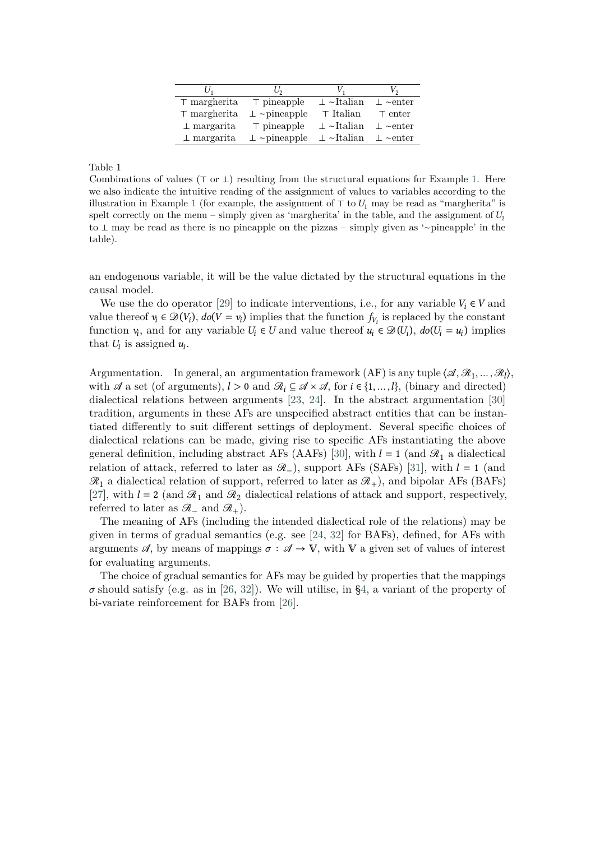|                   | U,                 |                  |                |
|-------------------|--------------------|------------------|----------------|
| $\top$ margherita | $\top$ pineapple   | $\perp$ ~Italian | $\perp$ ~enter |
| $\top$ margherita | $\perp$ ~pineapple | T Italian        | $\top$ enter   |
| $\perp$ margarita | $\top$ pineapple   | $\perp$ ~Italian | $\perp$ ~enter |
| $\perp$ margarita | $\perp$ ~pineapple | $\perp$ ~Italian | $\perp$ ~enter |

<span id="page-3-0"></span>Table 1

Combinations of values ( $\top$  or  $\bot$ ) resulting from the structural equations for Example [1.](#page-2-2) Here we also indicate the intuitive reading of the assignment of values to variables according to the illustration in Example [1](#page-2-2) (for example, the assignment of  $\top$  to  $U_1$  may be read as "margherita" is spelt correctly on the menu – simply given as 'margherita' in the table, and the assignment of  $U_2$ to ⊥ may be read as there is no pineapple on the pizzas – simply given as '∼pineapple' in the table).

an endogenous variable, it will be the value dictated by the structural equations in the causal model.

We use the do operator [\[29\]](#page-13-8) to indicate interventions, i.e., for any variable  $V_i \in V$  and value thereof  $v_i \in \mathcal{D}(V_i)$ ,  $do(V = v_i)$  implies that the function  $f_{V_i}$  is replaced by the constant function  $v_i$ , and for any variable  $U_i \in U$  and value thereof  $u_i \in \mathcal{D}(U_i)$ ,  $do(U_i = u_i)$  implies that  $U_i$  is assigned  $u_i$ .

Argumentation. In general, an argumentation framework  $(AF)$  is any tuple  $\langle \mathcal{A}, \mathcal{R}_1, \dots, \mathcal{R}_l \rangle$ , with  $\mathscr A$  a set (of arguments),  $l > 0$  and  $\mathscr R_l \subseteq \mathscr A \times \mathscr A$ , for  $i \in \{1, ..., l\}$ , (binary and directed) dialectical relations between arguments [\[23,](#page-13-2) [24\]](#page-13-3). In the abstract argumentation [\[30\]](#page-13-9) tradition, arguments in these AFs are unspecified abstract entities that can be instantiated differently to suit different settings of deployment. Several specific choices of dialectical relations can be made, giving rise to specific AFs instantiating the above general definition, including abstract AFs (AAFs) [\[30\]](#page-13-9), with  $l = 1$  (and  $\mathcal{R}_1$  a dialectical relation of attack, referred to later as  $\mathcal{R}_-$ ), support AFs (SAFs) [\[31\]](#page-13-10), with  $l = 1$  (and  $\mathcal{R}_1$  a dialectical relation of support, referred to later as  $\mathcal{R}_+$ ), and bipolar AFs (BAFs) [\[27\]](#page-13-6), with  $l = 2$  (and  $\mathcal{R}_1$  and  $\mathcal{R}_2$  dialectical relations of attack and support, respectively, referred to later as  $\mathcal{R}_-$  and  $\mathcal{R}_+$ ).

The meaning of AFs (including the intended dialectical role of the relations) may be given in terms of gradual semantics (e.g. see [\[24,](#page-13-3) [32\]](#page-13-11) for BAFs), defined, for AFs with arguments  $\mathscr{A}$ , by means of mappings  $\sigma : \mathscr{A} \to \mathbb{V}$ , with V a given set of values of interest for evaluating arguments.

The choice of gradual semantics for AFs may be guided by properties that the mappings  $\sigma$  should satisfy (e.g. as in [\[26,](#page-13-5) [32\]](#page-13-11)). We will utilise, in [§4,](#page-6-0) a variant of the property of bi-variate reinforcement for BAFs from [\[26\]](#page-13-5).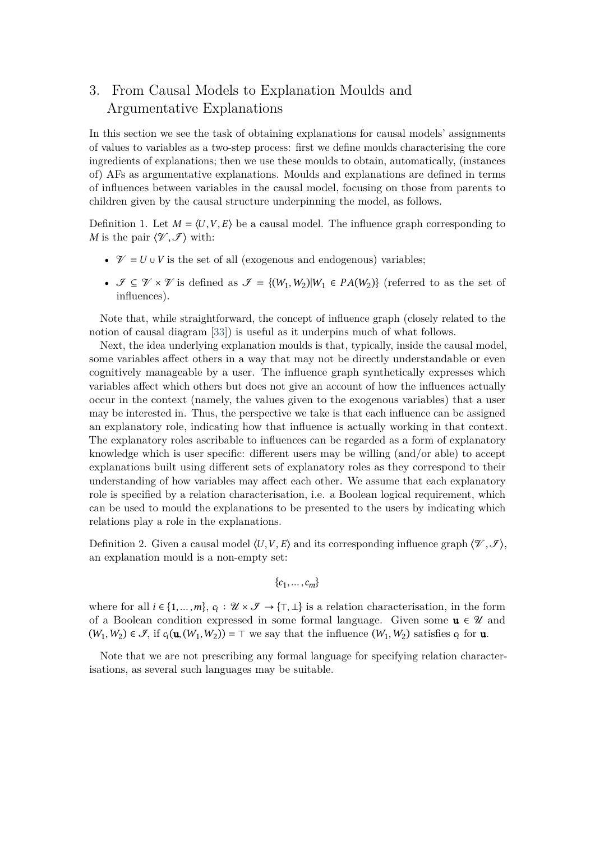# <span id="page-4-0"></span>3. From Causal Models to Explanation Moulds and Argumentative Explanations

In this section we see the task of obtaining explanations for causal models' assignments of values to variables as a two-step process: first we define moulds characterising the core ingredients of explanations; then we use these moulds to obtain, automatically, (instances of) AFs as argumentative explanations. Moulds and explanations are defined in terms of influences between variables in the causal model, focusing on those from parents to children given by the causal structure underpinning the model, as follows.

Definition 1. Let  $M = \langle U, V, E \rangle$  be a causal model. The influence graph corresponding to M is the pair  $\langle \mathcal{V}, \mathcal{I} \rangle$  with:

- $\mathcal{V} = U \cup V$  is the set of all (exogenous and endogenous) variables;
- $\mathcal{I} \subseteq \mathcal{V} \times \mathcal{V}$  is defined as  $\mathcal{I} = \{(W_1, W_2) | W_1 \in PA(W_2)\}$  (referred to as the set of influences).

Note that, while straightforward, the concept of influence graph (closely related to the notion of causal diagram [\[33\]](#page-13-12)) is useful as it underpins much of what follows.

Next, the idea underlying explanation moulds is that, typically, inside the causal model, some variables affect others in a way that may not be directly understandable or even cognitively manageable by a user. The influence graph synthetically expresses which variables affect which others but does not give an account of how the influences actually occur in the context (namely, the values given to the exogenous variables) that a user may be interested in. Thus, the perspective we take is that each influence can be assigned an explanatory role, indicating how that influence is actually working in that context. The explanatory roles ascribable to influences can be regarded as a form of explanatory knowledge which is user specific: different users may be willing (and/or able) to accept explanations built using different sets of explanatory roles as they correspond to their understanding of how variables may affect each other. We assume that each explanatory role is specified by a relation characterisation, i.e. a Boolean logical requirement, which can be used to mould the explanations to be presented to the users by indicating which relations play a role in the explanations.

Definition 2. Given a causal model  $\langle U, V, E \rangle$  and its corresponding influence graph  $\langle V, \mathcal{F} \rangle$ , an explanation mould is a non-empty set:

$$
\{c_1,\ldots,c_m\}
$$

where for all  $i \in \{1, ..., m\}$ ,  $c_i : \mathcal{U} \times \mathcal{F} \to \{\top, \bot\}$  is a relation characterisation, in the form of a Boolean condition expressed in some formal language. Given some  $\mathbf{u} \in \mathcal{U}$  and  $(W_1, W_2) \in \mathcal{J}$ , if  $c_i(\mathbf{u}, (W_1, W_2)) = \top$  we say that the influence  $(W_1, W_2)$  satisfies  $c_i$  for  $\mathbf{u}$ .

Note that we are not prescribing any formal language for specifying relation characterisations, as several such languages may be suitable.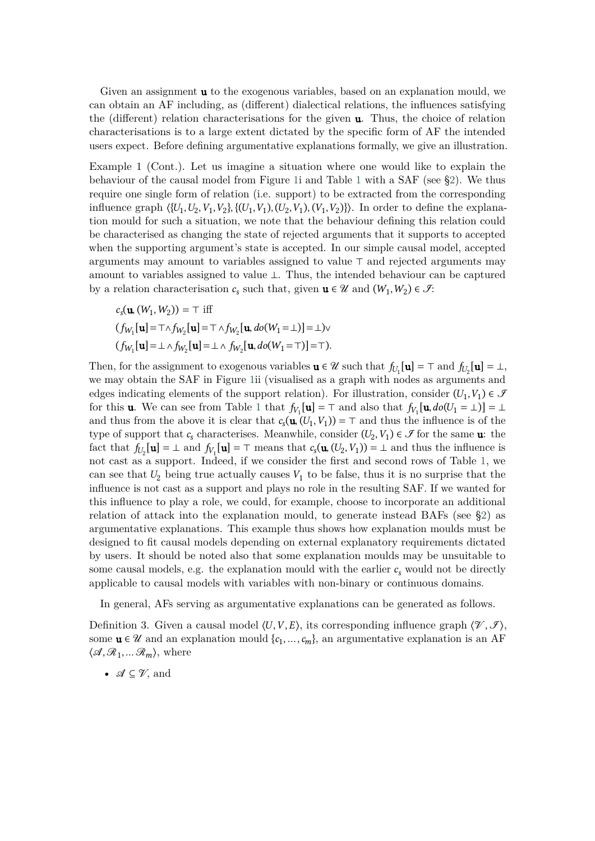Given an assignment **u** to the exogenous variables, based on an explanation mould, we can obtain an AF including, as (different) dialectical relations, the influences satisfying the (different) relation characterisations for the given u. Thus, the choice of relation characterisations is to a large extent dictated by the specific form of AF the intended users expect. Before defining argumentative explanations formally, we give an illustration.

Example 1 (Cont.). Let us imagine a situation where one would like to explain the behaviour of the causal model from Figure [1i](#page-2-1) and Table [1](#page-3-0) with a SAF (see [§2\)](#page-2-0). We thus require one single form of relation (i.e. support) to be extracted from the corresponding influence graph  $\langle U_1, U_2, V_1, V_2 \rangle, \{ (U_1, V_1), (U_2, V_1), (V_1, V_2) \} \rangle$ . In order to define the explanation mould for such a situation, we note that the behaviour defining this relation could be characterised as changing the state of rejected arguments that it supports to accepted when the supporting argument's state is accepted. In our simple causal model, accepted arguments may amount to variables assigned to value ⊤ and rejected arguments may amount to variables assigned to value ⊥. Thus, the intended behaviour can be captured by a relation characterisation  $c_s$  such that, given  $\mathbf{u} \in \mathcal{U}$  and  $(W_1, W_2) \in \mathcal{J}$ :

$$
c_s(\mathbf{u}, (W_1, W_2)) = \top \text{ iff}
$$
  
\n
$$
(f_{W_1}[\mathbf{u}] = \top \wedge f_{W_2}[\mathbf{u}] = \top \wedge f_{W_2}[\mathbf{u}, do(W_1 = \bot)] = \bot) \vee
$$
  
\n
$$
(f_{W_1}[\mathbf{u}] = \bot \wedge f_{W_2}[\mathbf{u}] = \bot \wedge f_{W_2}[\mathbf{u}, do(W_1 = \top)] = \top).
$$

, 200 million

Then, for the assignment to exogenous variables  $\mathbf{u} \in \mathcal{U}$  such that  $f_{U_1}[\mathbf{u}] = \top$  and  $f_{U_2}[\mathbf{u}] = \bot$ , we may obtain the SAF in Figure [1i](#page-2-1)i (visualised as a graph with nodes as arguments and edges indicating elements of the support relation). For illustration, consider  $(U_1, V_1) \in \mathcal{F}$ for this **u**. We can see from Table [1](#page-3-0) that  $f_{V_1}[\mathbf{u}] = \top$  and also that  $f_{V_1}[\mathbf{u}, d\mathbf{o}(U_1 = \bot)] = \bot$ and thus from the above it is clear that  $c_s(\mathbf{u}, (U_1, V_1)) = \top$  and thus the influence is of the type of support that  $c_s$  characterises. Meanwhile, consider  $(U_2, V_1) \in \mathcal{I}$  for the same **u**: the fact that  $f_{U_2}[\mathbf{u}] = \perp$  and  $f_{V_1}[\mathbf{u}] = \top$  means that  $c_s(\mathbf{u}, (U_2, V_1)) = \perp$  and thus the influence is not cast as a support. Indeed, if we consider the first and second rows of Table [1,](#page-3-0) we can see that  $U_2$  being true actually causes  $V_1$  to be false, thus it is no surprise that the influence is not cast as a support and plays no role in the resulting SAF. If we wanted for this influence to play a role, we could, for example, choose to incorporate an additional relation of attack into the explanation mould, to generate instead BAFs (see [§2\)](#page-2-0) as argumentative explanations. This example thus shows how explanation moulds must be designed to fit causal models depending on external explanatory requirements dictated by users. It should be noted also that some explanation moulds may be unsuitable to some causal models, e.g. the explanation mould with the earlier  $c_s$  would not be directly applicable to causal models with variables with non-binary or continuous domains.

In general, AFs serving as argumentative explanations can be generated as follows.

Definition 3. Given a causal model  $(U, V, E)$ , its corresponding influence graph  $(\mathcal{V}, \mathcal{I})$ , some  $\mathbf{u} \in \mathcal{U}$  and an explanation mould  $\{c_1, \ldots, c_m\}$ , an argumentative explanation is an AF  $\langle \mathcal{A}, \mathcal{R}_1, \dots \mathcal{R}_m \rangle$ , where

•  $\mathscr{A} \subseteq \mathscr{V}$ , and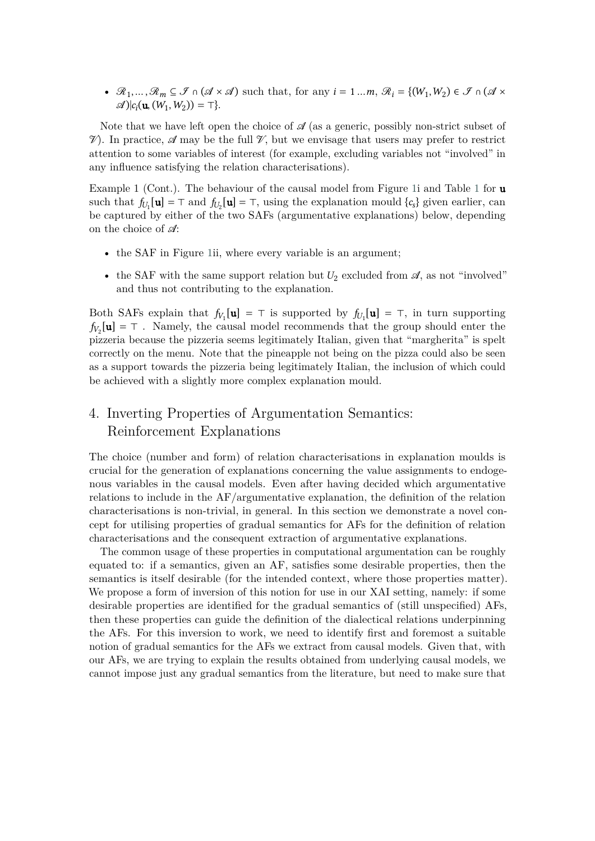•  $\mathcal{R}_1,\ldots,\mathcal{R}_m\subseteq\mathcal{I}\cap(\mathcal{A}\times\mathcal{A})$  such that, for any  $i=1\ldots m,$   $\mathcal{R}_i=\{(W_1,W_2)\in\mathcal{I}\cap(\mathcal{A}\times\mathcal{A})\}$  $\mathscr{A})|c_i(\mathbf{u}, (W_1, W_2)) = \top\}.$ 

Note that we have left open the choice of  $\mathscr A$  (as a generic, possibly non-strict subset of  $\mathcal{V}$ ). In practice,  $\mathcal{A}$  may be the full  $\mathcal{V}$ , but we envisage that users may prefer to restrict attention to some variables of interest (for example, excluding variables not "involved" in any influence satisfying the relation characterisations).

Example [1](#page-3-0) (Cont.). The behaviour of the causal model from Figure 1 and Table 1 for **u** such that  $f_{U_1}[\mathbf{u}] = \top$  and  $f_{U_2}[\mathbf{u}] = \top$ , using the explanation mould  $\{c_s\}$  given earlier, can be captured by either of the two SAFs (argumentative explanations) below, depending on the choice of  $\mathscr{A}$ :

- the SAF in Figure [1i](#page-2-1)i, where every variable is an argument;
- the SAF with the same support relation but  $U_2$  excluded from  $\mathscr{A}$ , as not "involved" and thus not contributing to the explanation.

Both SAFs explain that  $f_{V_1}[\mathbf{u}] = \top$  is supported by  $f_{U_1}[\mathbf{u}] = \top$ , in turn supporting  $f_{V_2}[\mathbf{u}] = \top$ . Namely, the causal model recommends that the group should enter the pizzeria because the pizzeria seems legitimately Italian, given that "margherita" is spelt correctly on the menu. Note that the pineapple not being on the pizza could also be seen as a support towards the pizzeria being legitimately Italian, the inclusion of which could be achieved with a slightly more complex explanation mould.

# <span id="page-6-0"></span>4. Inverting Properties of Argumentation Semantics: Reinforcement Explanations

The choice (number and form) of relation characterisations in explanation moulds is crucial for the generation of explanations concerning the value assignments to endogenous variables in the causal models. Even after having decided which argumentative relations to include in the AF/argumentative explanation, the definition of the relation characterisations is non-trivial, in general. In this section we demonstrate a novel concept for utilising properties of gradual semantics for AFs for the definition of relation characterisations and the consequent extraction of argumentative explanations.

The common usage of these properties in computational argumentation can be roughly equated to: if a semantics, given an AF, satisfies some desirable properties, then the semantics is itself desirable (for the intended context, where those properties matter). We propose a form of inversion of this notion for use in our XAI setting, namely: if some desirable properties are identified for the gradual semantics of (still unspecified) AFs, then these properties can guide the definition of the dialectical relations underpinning the AFs. For this inversion to work, we need to identify first and foremost a suitable notion of gradual semantics for the AFs we extract from causal models. Given that, with our AFs, we are trying to explain the results obtained from underlying causal models, we cannot impose just any gradual semantics from the literature, but need to make sure that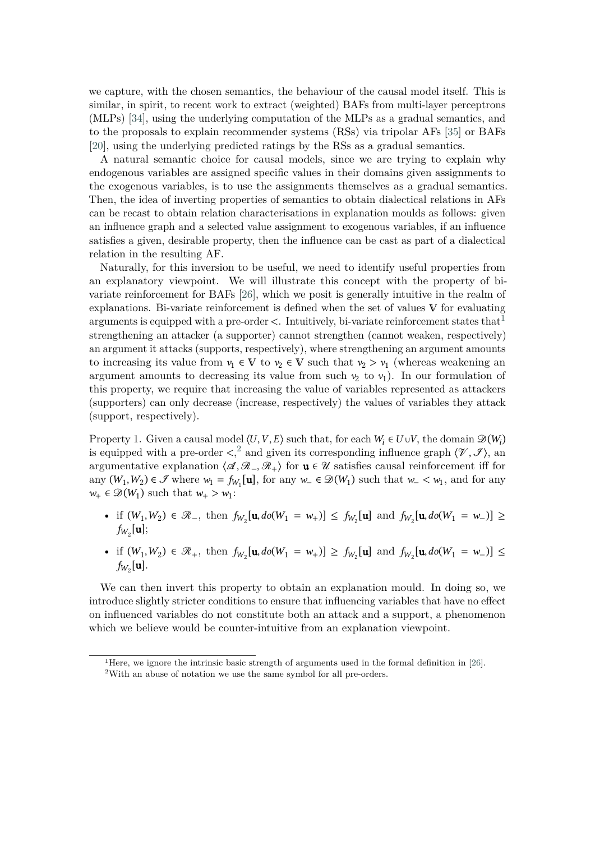we capture, with the chosen semantics, the behaviour of the causal model itself. This is similar, in spirit, to recent work to extract (weighted) BAFs from multi-layer perceptrons (MLPs) [\[34\]](#page-13-13), using the underlying computation of the MLPs as a gradual semantics, and to the proposals to explain recommender systems (RSs) via tripolar AFs [\[35\]](#page-13-14) or BAFs [\[20\]](#page-12-10), using the underlying predicted ratings by the RSs as a gradual semantics.

A natural semantic choice for causal models, since we are trying to explain why endogenous variables are assigned specific values in their domains given assignments to the exogenous variables, is to use the assignments themselves as a gradual semantics. Then, the idea of inverting properties of semantics to obtain dialectical relations in AFs can be recast to obtain relation characterisations in explanation moulds as follows: given an influence graph and a selected value assignment to exogenous variables, if an influence satisfies a given, desirable property, then the influence can be cast as part of a dialectical relation in the resulting AF.

Naturally, for this inversion to be useful, we need to identify useful properties from an explanatory viewpoint. We will illustrate this concept with the property of bivariate reinforcement for BAFs [\[26\]](#page-13-5), which we posit is generally intuitive in the realm of explanations. Bi-variate reinforcement is defined when the set of values  $V$  for evaluating arguments is equipped with a pre-order  $\lt$ . Intuitively, bi-variate reinforcement states that strengthening an attacker (a supporter) cannot strengthen (cannot weaken, respectively) an argument it attacks (supports, respectively), where strengthening an argument amounts to increasing its value from  $v_1 \in V$  to  $v_2 \in V$  such that  $v_2 > v_1$  (whereas weakening an argument amounts to decreasing its value from such  $v_2$  to  $v_1$ ). In our formulation of this property, we require that increasing the value of variables represented as attackers (supporters) can only decrease (increase, respectively) the values of variables they attack (support, respectively).

<span id="page-7-2"></span>Property 1. Given a causal model  $\langle U, V, E \rangle$  such that, for each  $W_i \in U \cup V$ , the domain  $\mathcal{D}(W_i)$ is equipped with a pre-order  $\langle \xi \rangle^2$  $\langle \xi \rangle^2$  and given its corresponding influence graph  $\langle \mathcal{V}, \mathcal{F} \rangle$ , and argumentative explanation  $\langle \mathcal{A}, \mathcal{R}_-, \mathcal{R}_+ \rangle$  for  $\mathbf{u} \in \mathcal{U}$  satisfies causal reinforcement iff for any  $(W_1, W_2) \in \mathcal{F}$  where  $w_1 = f_{W_1}[\mathbf{u}]$ , for any  $w_- \in \mathcal{D}(W_1)$  such that  $w_- < w_1$ , and for any  $w_+ \in \mathcal{D}(W_1)$  such that  $w_+ > w_1$ :

- if  $(W_1, W_2) \in \mathcal{R}_-$ , then  $f_{W_2}[\mathbf{u}, do(W_1 = w_+)] \le f_{W_2}[\mathbf{u}]$  and  $f_{W_2}[\mathbf{u}, do(W_1 = w_-)] \ge$  $f_{W_2}[\mathbf{u}];$
- if  $(W_1, W_2) \in \mathcal{R}_+$ , then  $f_{W_2}[\mathbf{u}, do(W_1 = w_+)] \ge f_{W_2}[\mathbf{u}]$  and  $f_{W_2}[\mathbf{u}, do(W_1 = w_-)] \le$  $f_{W_2}[\mathbf{u}].$

We can then invert this property to obtain an explanation mould. In doing so, we introduce slightly stricter conditions to ensure that influencing variables that have no effect on influenced variables do not constitute both an attack and a support, a phenomenon which we believe would be counter-intuitive from an explanation viewpoint.

<span id="page-7-1"></span><span id="page-7-0"></span><sup>&</sup>lt;sup>1</sup>Here, we ignore the intrinsic basic strength of arguments used in the formal definition in [\[26\]](#page-13-5). <sup>2</sup>With an abuse of notation we use the same symbol for all pre-orders.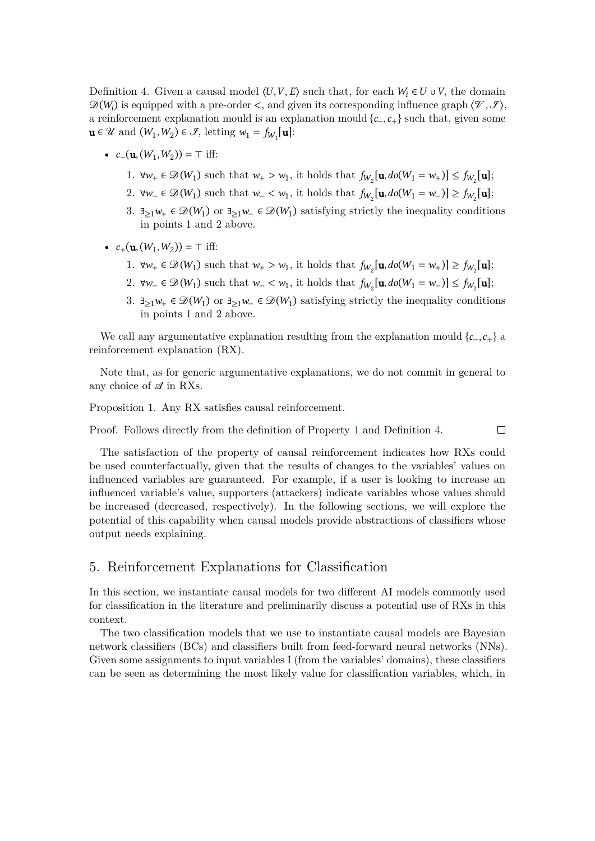<span id="page-8-1"></span>Definition 4. Given a causal model  $\langle U, V, E \rangle$  such that, for each  $W_i \in U \cup V$ , the domain  $\mathscr{D}(W_i)$  is equipped with a pre-order  $\lt$ , and given its corresponding influence graph  $(\mathscr{V}, \mathscr{F})$ , a reinforcement explanation mould is an explanation mould  ${c_-, c_+}$  such that, given some  $\mathbf{u} \in \mathcal{U}$  and  $(W_1, W_2) \in \mathcal{I}$ , letting  $w_1 = f_{W_1}[\mathbf{u}]$ :

- $c_{-}(\mathbf{u}, (W_1, W_2)) = \top$  iff:
	- 1.  $\forall w_+ \in \mathcal{D}(W_1)$  such that  $w_+ > w_1$ , it holds that  $f_{W_2}[\mathbf{u}, do(W_1 = w_+) \leq f_{W_2}[\mathbf{u}]$ ;
	- 2.  $\forall w_{-} \in \mathcal{D}(W_1)$  such that  $w_{-} < w_1$ , it holds that  $f_{W_2}[\mathbf{u}, do(W_1 = w_{-})] \ge f_{W_2}[\mathbf{u}]$ ;
	- 3.  $\exists_{\geq 1} w_+ \in \mathcal{D}(W_1)$  or  $\exists_{\geq 1} w_- \in \mathcal{D}(W_1)$  satisfying strictly the inequality conditions in points 1 and 2 above.
- $c_+(\mathbf{u}, (W_1, W_2)) = \top \text{ iff:}$ 
	- 1.  $\forall w_+ \in \mathcal{D}(W_1)$  such that  $w_+ > w_1$ , it holds that  $f_{W_2}[\mathbf{u}, do(W_1 = w_+) ] \ge f_{W_2}[\mathbf{u}]$ ;
	- 2.  $\forall w_{-} \in \mathcal{D}(W_1)$  such that  $w_{-} < w_1$ , it holds that  $f_{W_2}[\mathbf{u}, do(W_1 = w_{-})] \le f_{W_2}[\mathbf{u}]$ ;
	- 3.  $\exists_{\geq 1} w_+ \in \mathcal{D}(W_1)$  or  $\exists_{\geq 1} w_- \in \mathcal{D}(W_1)$  satisfying strictly the inequality conditions in points 1 and 2 above.

We call any argumentative explanation resulting from the explanation mould  ${c_-, c_+}$  a reinforcement explanation (RX).

Note that, as for generic argumentative explanations, we do not commit in general to any choice of  $\mathscr A$  in RXs.

Proposition 1. Any RX satisfies causal reinforcement.

Proof. Follows directly from the definition of Property [1](#page-7-2) and Definition [4.](#page-8-1)  $\Box$ 

The satisfaction of the property of causal reinforcement indicates how RXs could be used counterfactually, given that the results of changes to the variables' values on influenced variables are guaranteed. For example, if a user is looking to increase an influenced variable's value, supporters (attackers) indicate variables whose values should be increased (decreased, respectively). In the following sections, we will explore the potential of this capability when causal models provide abstractions of classifiers whose output needs explaining.

# <span id="page-8-0"></span>5. Reinforcement Explanations for Classification

In this section, we instantiate causal models for two different AI models commonly used for classification in the literature and preliminarily discuss a potential use of RXs in this context.

The two classification models that we use to instantiate causal models are Bayesian network classifiers (BCs) and classifiers built from feed-forward neural networks (NNs). Given some assignments to input variables I (from the variables' domains), these classifiers can be seen as determining the most likely value for classification variables, which, in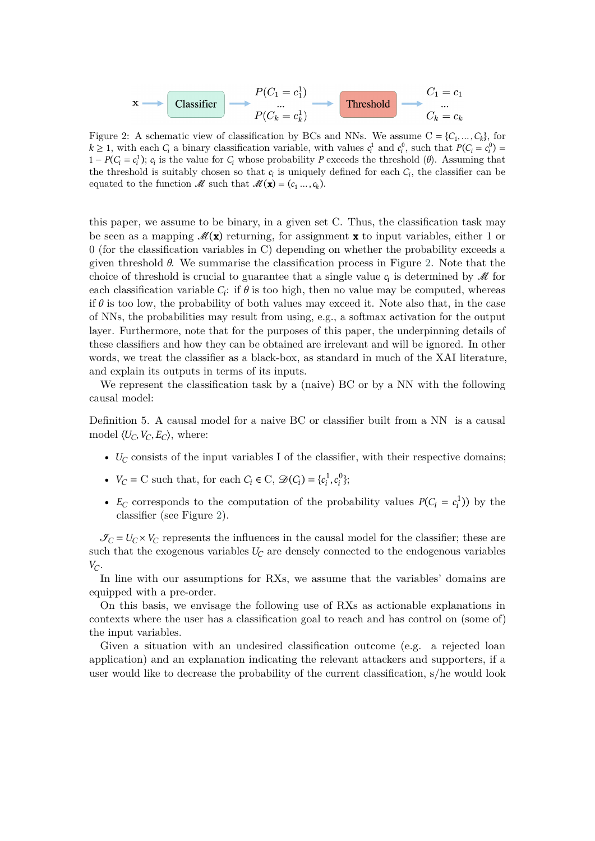<span id="page-9-0"></span>
$$
\mathbf{x} \longrightarrow \begin{bmatrix} \text{Classifier} \\ \text{Classifier} \end{bmatrix} \longrightarrow \begin{bmatrix} P(C_1 = c_1^1) \\ \dots \\ P(C_k = c_k^1) \end{bmatrix} \longrightarrow \begin{bmatrix} C_1 = c_1 \\ \dots \\ C_k = c_k \end{bmatrix}
$$

Figure 2: A schematic view of classification by BCs and NNs. We assume  $C = \{C_1, \ldots, C_k\}$ , for  $k \geq 1$ , with each  $C_i$  a binary classification variable, with values  $c_i^1$  and  $c_i^0$ , such that  $P(C_i = c_i^0) =$  $1 - P(C_i = c_i^1)$ ;  $c_i$  is the value for  $C_i$  whose probability P exceeds the threshold  $(\theta)$ . Assuming that the threshold is suitably chosen so that  $c_i$  is uniquely defined for each  $C_i$ , the classifier can be equated to the function  $M$  such that  $M(\mathbf{x}) = (c_1 \dots, c_k)$ .

this paper, we assume to be binary, in a given set C. Thus, the classification task may be seen as a mapping  $M(x)$  returning, for assignment x to input variables, either 1 or 0 (for the classification variables in C) depending on whether the probability exceeds a given threshold  $\theta$ . We summarise the classification process in Figure [2.](#page-9-0) Note that the choice of threshold is crucial to guarantee that a single value  $c_i$  is determined by  $\mathcal M$  for each classification variable  $C_i$ : if  $\theta$  is too high, then no value may be computed, whereas if  $\theta$  is too low, the probability of both values may exceed it. Note also that, in the case of NNs, the probabilities may result from using, e.g., a softmax activation for the output layer. Furthermore, note that for the purposes of this paper, the underpinning details of these classifiers and how they can be obtained are irrelevant and will be ignored. In other words, we treat the classifier as a black-box, as standard in much of the XAI literature, and explain its outputs in terms of its inputs.

We represent the classification task by a (naive) BC or by a NN with the following causal model:

Definition 5. A causal model for a naive BC or classifier built from a NN is a causal model  $\langle U_C, V_C, E_C \rangle$ , where:

- $U_C$  consists of the input variables I of the classifier, with their respective domains;
- $V_C = C$  such that, for each  $C_i \in C$ ,  $\mathcal{D}(C_i) = \{c_i^1, c_i^0\};$
- $E_C$  corresponds to the computation of the probability values  $P(C_i = c_i^1)$ ) by the classifier (see Figure [2\)](#page-9-0).

 $\mathcal{I}_C = U_C \times V_C$  represents the influences in the causal model for the classifier; these are such that the exogenous variables  $U_C$  are densely connected to the endogenous variables  $V_C$ .

In line with our assumptions for RXs, we assume that the variables' domains are equipped with a pre-order.

On this basis, we envisage the following use of RXs as actionable explanations in contexts where the user has a classification goal to reach and has control on (some of) the input variables.

Given a situation with an undesired classification outcome (e.g. a rejected loan application) and an explanation indicating the relevant attackers and supporters, if a user would like to decrease the probability of the current classification, s/he would look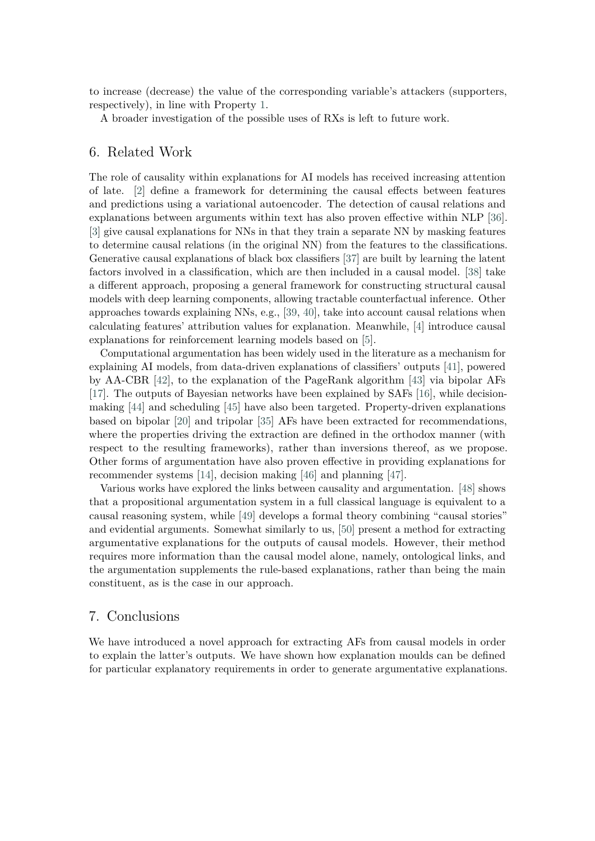to increase (decrease) the value of the corresponding variable's attackers (supporters, respectively), in line with Property [1.](#page-7-2)

A broader investigation of the possible uses of RXs is left to future work.

## <span id="page-10-0"></span>6. Related Work

The role of causality within explanations for AI models has received increasing attention of late. [\[2\]](#page-12-11) define a framework for determining the causal effects between features and predictions using a variational autoencoder. The detection of causal relations and explanations between arguments within text has also proven effective within NLP [\[36\]](#page-13-15). [\[3\]](#page-12-12) give causal explanations for NNs in that they train a separate NN by masking features to determine causal relations (in the original NN) from the features to the classifications. Generative causal explanations of black box classifiers [\[37\]](#page-13-16) are built by learning the latent factors involved in a classification, which are then included in a causal model. [\[38\]](#page-13-17) take a different approach, proposing a general framework for constructing structural causal models with deep learning components, allowing tractable counterfactual inference. Other approaches towards explaining NNs, e.g., [\[39,](#page-13-18) [40\]](#page-13-19), take into account causal relations when calculating features' attribution values for explanation. Meanwhile, [\[4\]](#page-12-13) introduce causal explanations for reinforcement learning models based on [\[5\]](#page-12-14).

Computational argumentation has been widely used in the literature as a mechanism for explaining AI models, from data-driven explanations of classifiers' outputs [\[41\]](#page-13-20), powered by AA-CBR [\[42\]](#page-13-21), to the explanation of the PageRank algorithm [\[43\]](#page-13-22) via bipolar AFs [\[17\]](#page-12-6). The outputs of Bayesian networks have been explained by SAFs [\[16\]](#page-12-5), while decisionmaking [\[44\]](#page-14-0) and scheduling [\[45\]](#page-14-1) have also been targeted. Property-driven explanations based on bipolar [\[20\]](#page-12-10) and tripolar [\[35\]](#page-13-14) AFs have been extracted for recommendations, where the properties driving the extraction are defined in the orthodox manner (with respect to the resulting frameworks), rather than inversions thereof, as we propose. Other forms of argumentation have also proven effective in providing explanations for recommender systems [\[14\]](#page-12-3), decision making [\[46\]](#page-14-2) and planning [\[47\]](#page-14-3).

Various works have explored the links between causality and argumentation. [\[48\]](#page-14-4) shows that a propositional argumentation system in a full classical language is equivalent to a causal reasoning system, while [\[49\]](#page-14-5) develops a formal theory combining "causal stories" and evidential arguments. Somewhat similarly to us, [\[50\]](#page-14-6) present a method for extracting argumentative explanations for the outputs of causal models. However, their method requires more information than the causal model alone, namely, ontological links, and the argumentation supplements the rule-based explanations, rather than being the main constituent, as is the case in our approach.

## <span id="page-10-1"></span>7. Conclusions

We have introduced a novel approach for extracting AFs from causal models in order to explain the latter's outputs. We have shown how explanation moulds can be defined for particular explanatory requirements in order to generate argumentative explanations.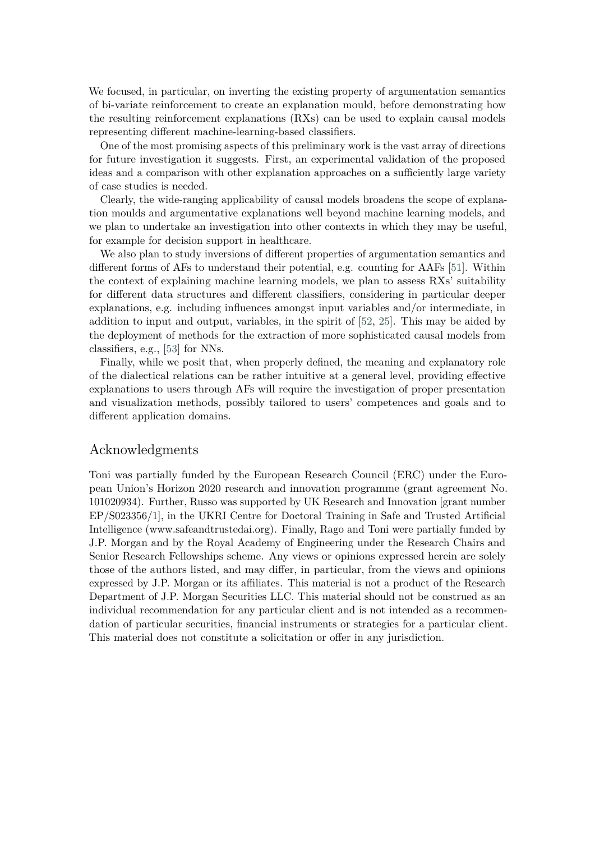We focused, in particular, on inverting the existing property of argumentation semantics of bi-variate reinforcement to create an explanation mould, before demonstrating how the resulting reinforcement explanations (RXs) can be used to explain causal models representing different machine-learning-based classifiers.

One of the most promising aspects of this preliminary work is the vast array of directions for future investigation it suggests. First, an experimental validation of the proposed ideas and a comparison with other explanation approaches on a sufficiently large variety of case studies is needed.

Clearly, the wide-ranging applicability of causal models broadens the scope of explanation moulds and argumentative explanations well beyond machine learning models, and we plan to undertake an investigation into other contexts in which they may be useful, for example for decision support in healthcare.

We also plan to study inversions of different properties of argumentation semantics and different forms of AFs to understand their potential, e.g. counting for AAFs [\[51\]](#page-14-7). Within the context of explaining machine learning models, we plan to assess RXs' suitability for different data structures and different classifiers, considering in particular deeper explanations, e.g. including influences amongst input variables and/or intermediate, in addition to input and output, variables, in the spirit of [\[52,](#page-14-8) [25\]](#page-13-4). This may be aided by the deployment of methods for the extraction of more sophisticated causal models from classifiers, e.g., [\[53\]](#page-14-9) for NNs.

Finally, while we posit that, when properly defined, the meaning and explanatory role of the dialectical relations can be rather intuitive at a general level, providing effective explanations to users through AFs will require the investigation of proper presentation and visualization methods, possibly tailored to users' competences and goals and to different application domains.

#### Acknowledgments

Toni was partially funded by the European Research Council (ERC) under the European Union's Horizon 2020 research and innovation programme (grant agreement No. 101020934). Further, Russo was supported by UK Research and Innovation [grant number EP/S023356/1], in the UKRI Centre for Doctoral Training in Safe and Trusted Artificial Intelligence (www.safeandtrustedai.org). Finally, Rago and Toni were partially funded by J.P. Morgan and by the Royal Academy of Engineering under the Research Chairs and Senior Research Fellowships scheme. Any views or opinions expressed herein are solely those of the authors listed, and may differ, in particular, from the views and opinions expressed by J.P. Morgan or its affiliates. This material is not a product of the Research Department of J.P. Morgan Securities LLC. This material should not be construed as an individual recommendation for any particular client and is not intended as a recommendation of particular securities, financial instruments or strategies for a particular client. This material does not constitute a solicitation or offer in any jurisdiction.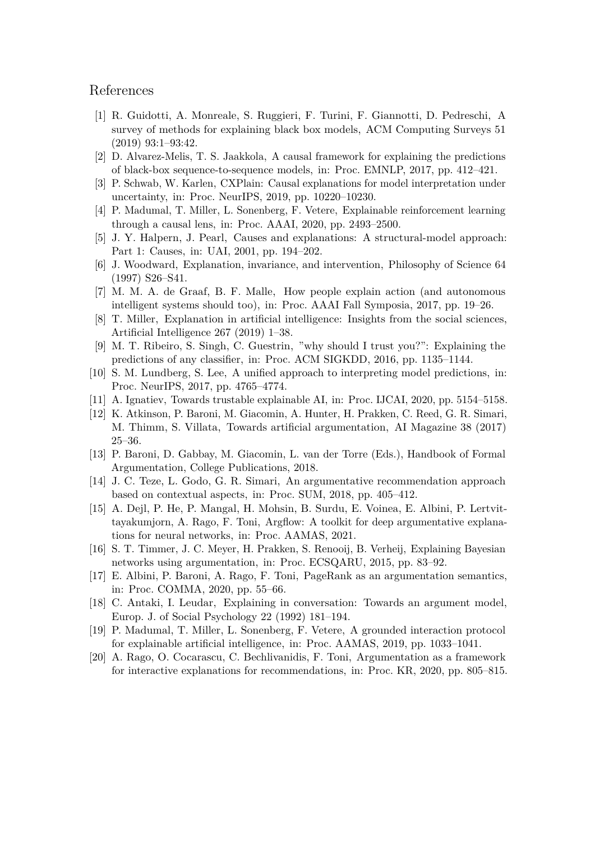## References

- [1] R. Guidotti, A. Monreale, S. Ruggieri, F. Turini, F. Giannotti, D. Pedreschi, A survey of methods for explaining black box models, ACM Computing Surveys 51 (2019) 93:1–93:42.
- <span id="page-12-11"></span>[2] D. Alvarez-Melis, T. S. Jaakkola, A causal framework for explaining the predictions of black-box sequence-to-sequence models, in: Proc. EMNLP, 2017, pp. 412–421.
- <span id="page-12-12"></span>[3] P. Schwab, W. Karlen, CXPlain: Causal explanations for model interpretation under uncertainty, in: Proc. NeurIPS, 2019, pp. 10220–10230.
- <span id="page-12-13"></span>[4] P. Madumal, T. Miller, L. Sonenberg, F. Vetere, Explainable reinforcement learning through a causal lens, in: Proc. AAAI, 2020, pp. 2493–2500.
- <span id="page-12-14"></span>[5] J. Y. Halpern, J. Pearl, Causes and explanations: A structural-model approach: Part 1: Causes, in: UAI, 2001, pp. 194–202.
- [6] J. Woodward, Explanation, invariance, and intervention, Philosophy of Science 64 (1997) S26–S41.
- [7] M. M. A. de Graaf, B. F. Malle, How people explain action (and autonomous intelligent systems should too), in: Proc. AAAI Fall Symposia, 2017, pp. 19–26.
- <span id="page-12-8"></span>[8] T. Miller, Explanation in artificial intelligence: Insights from the social sciences, Artificial Intelligence 267 (2019) 1–38.
- [9] M. T. Ribeiro, S. Singh, C. Guestrin, "why should I trust you?": Explaining the predictions of any classifier, in: Proc. ACM SIGKDD, 2016, pp. 1135–1144.
- [10] S. M. Lundberg, S. Lee, A unified approach to interpreting model predictions, in: Proc. NeurIPS, 2017, pp. 4765–4774.
- <span id="page-12-0"></span>[11] A. Ignatiev, Towards trustable explainable AI, in: Proc. IJCAI, 2020, pp. 5154–5158.
- <span id="page-12-1"></span>[12] K. Atkinson, P. Baroni, M. Giacomin, A. Hunter, H. Prakken, C. Reed, G. R. Simari, M. Thimm, S. Villata, Towards artificial argumentation, AI Magazine 38 (2017) 25–36.
- <span id="page-12-2"></span>[13] P. Baroni, D. Gabbay, M. Giacomin, L. van der Torre (Eds.), Handbook of Formal Argumentation, College Publications, 2018.
- <span id="page-12-3"></span>[14] J. C. Teze, L. Godo, G. R. Simari, An argumentative recommendation approach based on contextual aspects, in: Proc. SUM, 2018, pp. 405–412.
- <span id="page-12-4"></span>[15] A. Dejl, P. He, P. Mangal, H. Mohsin, B. Surdu, E. Voinea, E. Albini, P. Lertvittayakumjorn, A. Rago, F. Toni, Argflow: A toolkit for deep argumentative explanations for neural networks, in: Proc. AAMAS, 2021.
- <span id="page-12-5"></span>[16] S. T. Timmer, J. C. Meyer, H. Prakken, S. Renooij, B. Verheij, Explaining Bayesian networks using argumentation, in: Proc. ECSQARU, 2015, pp. 83–92.
- <span id="page-12-6"></span>[17] E. Albini, P. Baroni, A. Rago, F. Toni, PageRank as an argumentation semantics, in: Proc. COMMA, 2020, pp. 55–66.
- <span id="page-12-7"></span>[18] C. Antaki, I. Leudar, Explaining in conversation: Towards an argument model, Europ. J. of Social Psychology 22 (1992) 181–194.
- <span id="page-12-9"></span>[19] P. Madumal, T. Miller, L. Sonenberg, F. Vetere, A grounded interaction protocol for explainable artificial intelligence, in: Proc. AAMAS, 2019, pp. 1033–1041.
- <span id="page-12-10"></span>[20] A. Rago, O. Cocarascu, C. Bechlivanidis, F. Toni, Argumentation as a framework for interactive explanations for recommendations, in: Proc. KR, 2020, pp. 805–815.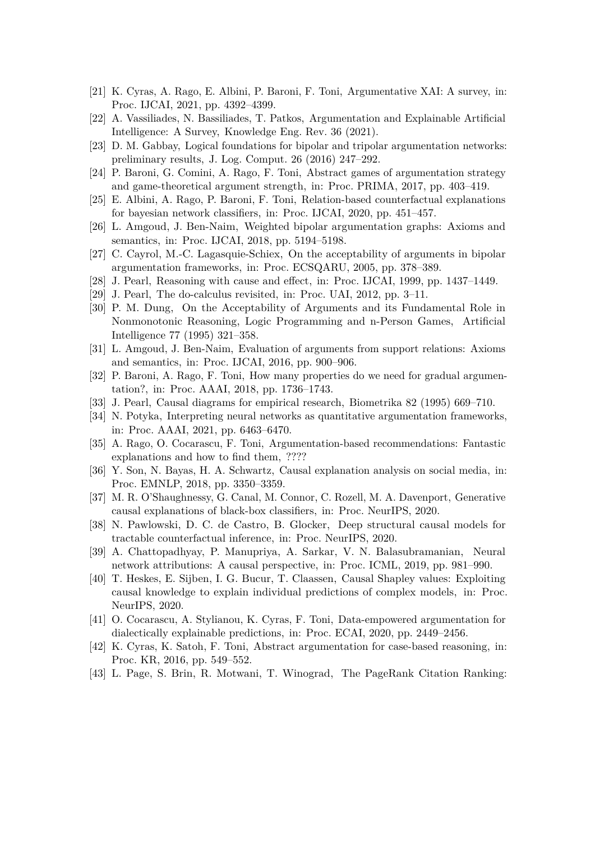- <span id="page-13-0"></span>[21] K. Cyras, A. Rago, E. Albini, P. Baroni, F. Toni, Argumentative XAI: A survey, in: Proc. IJCAI, 2021, pp. 4392–4399.
- <span id="page-13-1"></span>[22] A. Vassiliades, N. Bassiliades, T. Patkos, Argumentation and Explainable Artificial Intelligence: A Survey, Knowledge Eng. Rev. 36 (2021).
- <span id="page-13-2"></span>[23] D. M. Gabbay, Logical foundations for bipolar and tripolar argumentation networks: preliminary results, J. Log. Comput. 26 (2016) 247–292.
- <span id="page-13-3"></span>[24] P. Baroni, G. Comini, A. Rago, F. Toni, Abstract games of argumentation strategy and game-theoretical argument strength, in: Proc. PRIMA, 2017, pp. 403–419.
- <span id="page-13-4"></span>[25] E. Albini, A. Rago, P. Baroni, F. Toni, Relation-based counterfactual explanations for bayesian network classifiers, in: Proc. IJCAI, 2020, pp. 451–457.
- <span id="page-13-5"></span>[26] L. Amgoud, J. Ben-Naim, Weighted bipolar argumentation graphs: Axioms and semantics, in: Proc. IJCAI, 2018, pp. 5194–5198.
- <span id="page-13-6"></span>[27] C. Cayrol, M.-C. Lagasquie-Schiex, On the acceptability of arguments in bipolar argumentation frameworks, in: Proc. ECSQARU, 2005, pp. 378–389.
- <span id="page-13-7"></span>[28] J. Pearl, Reasoning with cause and effect, in: Proc. IJCAI, 1999, pp. 1437–1449.
- <span id="page-13-8"></span>[29] J. Pearl, The do-calculus revisited, in: Proc. UAI, 2012, pp. 3–11.
- <span id="page-13-9"></span>[30] P. M. Dung, On the Acceptability of Arguments and its Fundamental Role in Nonmonotonic Reasoning, Logic Programming and n-Person Games, Artificial Intelligence 77 (1995) 321–358.
- <span id="page-13-10"></span>[31] L. Amgoud, J. Ben-Naim, Evaluation of arguments from support relations: Axioms and semantics, in: Proc. IJCAI, 2016, pp. 900–906.
- <span id="page-13-11"></span>[32] P. Baroni, A. Rago, F. Toni, How many properties do we need for gradual argumentation?, in: Proc. AAAI, 2018, pp. 1736–1743.
- <span id="page-13-12"></span>[33] J. Pearl, Causal diagrams for empirical research, Biometrika 82 (1995) 669–710.
- <span id="page-13-13"></span>[34] N. Potyka, Interpreting neural networks as quantitative argumentation frameworks, in: Proc. AAAI, 2021, pp. 6463–6470.
- <span id="page-13-14"></span>[35] A. Rago, O. Cocarascu, F. Toni, Argumentation-based recommendations: Fantastic explanations and how to find them, ????
- <span id="page-13-15"></span>[36] Y. Son, N. Bayas, H. A. Schwartz, Causal explanation analysis on social media, in: Proc. EMNLP, 2018, pp. 3350–3359.
- <span id="page-13-16"></span>[37] M. R. O'Shaughnessy, G. Canal, M. Connor, C. Rozell, M. A. Davenport, Generative causal explanations of black-box classifiers, in: Proc. NeurIPS, 2020.
- <span id="page-13-17"></span>[38] N. Pawlowski, D. C. de Castro, B. Glocker, Deep structural causal models for tractable counterfactual inference, in: Proc. NeurIPS, 2020.
- <span id="page-13-18"></span>[39] A. Chattopadhyay, P. Manupriya, A. Sarkar, V. N. Balasubramanian, Neural network attributions: A causal perspective, in: Proc. ICML, 2019, pp. 981–990.
- <span id="page-13-19"></span>[40] T. Heskes, E. Sijben, I. G. Bucur, T. Claassen, Causal Shapley values: Exploiting causal knowledge to explain individual predictions of complex models, in: Proc. NeurIPS, 2020.
- <span id="page-13-20"></span>[41] O. Cocarascu, A. Stylianou, K. Cyras, F. Toni, Data-empowered argumentation for dialectically explainable predictions, in: Proc. ECAI, 2020, pp. 2449–2456.
- <span id="page-13-21"></span>[42] K. Cyras, K. Satoh, F. Toni, Abstract argumentation for case-based reasoning, in: Proc. KR, 2016, pp. 549–552.
- <span id="page-13-22"></span>[43] L. Page, S. Brin, R. Motwani, T. Winograd, The PageRank Citation Ranking: